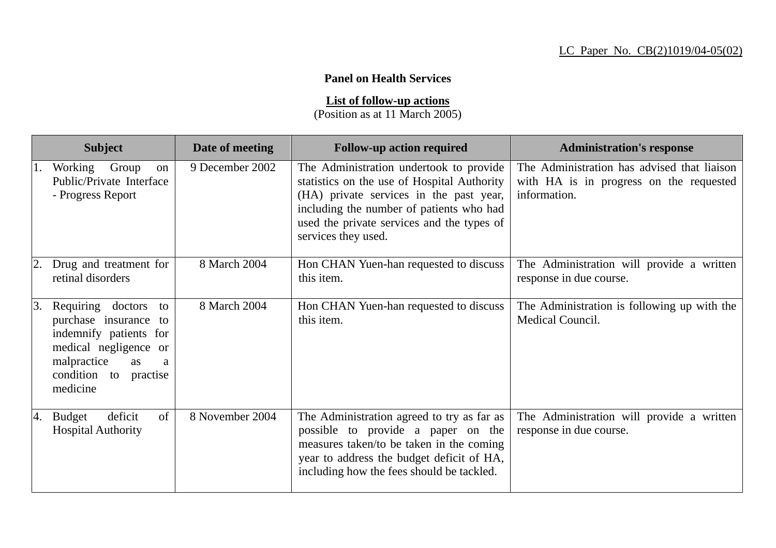## **Panel on Health Services**

**List of follow-up actions**

(Position as at 11 March 2005)

|    | <b>Subject</b>                                                                                                                                                     | Date of meeting | <b>Follow-up action required</b>                                                                                                                                                                                                                   | <b>Administration's response</b>                                                                       |
|----|--------------------------------------------------------------------------------------------------------------------------------------------------------------------|-----------------|----------------------------------------------------------------------------------------------------------------------------------------------------------------------------------------------------------------------------------------------------|--------------------------------------------------------------------------------------------------------|
| 1. | Working<br>Group<br>on<br>Public/Private Interface<br>- Progress Report                                                                                            | 9 December 2002 | The Administration undertook to provide<br>statistics on the use of Hospital Authority<br>(HA) private services in the past year,<br>including the number of patients who had<br>used the private services and the types of<br>services they used. | The Administration has advised that liaison<br>with HA is in progress on the requested<br>information. |
|    | Drug and treatment for<br>retinal disorders                                                                                                                        | 8 March 2004    | Hon CHAN Yuen-han requested to discuss<br>this item.                                                                                                                                                                                               | The Administration will provide a written<br>response in due course.                                   |
| 3. | Requiring doctors<br>to<br>purchase insurance to<br>indemnify patients for<br>medical negligence or<br>malpractice<br>as<br>a<br>condition to practise<br>medicine | 8 March 2004    | Hon CHAN Yuen-han requested to discuss<br>this item.                                                                                                                                                                                               | The Administration is following up with the<br>Medical Council.                                        |
| 4. | of<br>deficit<br><b>Budget</b><br><b>Hospital Authority</b>                                                                                                        | 8 November 2004 | The Administration agreed to try as far as<br>possible to provide a paper on the<br>measures taken/to be taken in the coming<br>year to address the budget deficit of HA,<br>including how the fees should be tackled.                             | The Administration will provide a written<br>response in due course.                                   |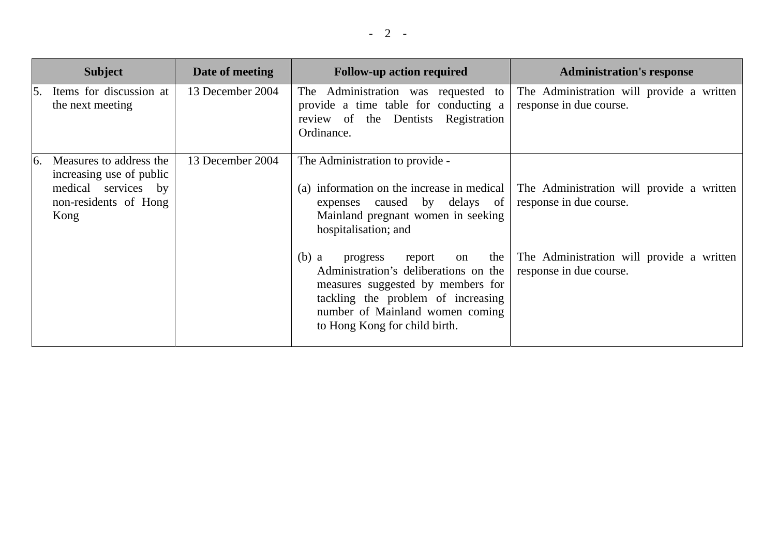|               | <b>Subject</b>                                                                                              | Date of meeting  | <b>Follow-up action required</b>                                                                                                                                                                                                   | <b>Administration's response</b>                                     |
|---------------|-------------------------------------------------------------------------------------------------------------|------------------|------------------------------------------------------------------------------------------------------------------------------------------------------------------------------------------------------------------------------------|----------------------------------------------------------------------|
| 5.            | Items for discussion at<br>the next meeting                                                                 | 13 December 2004 | The Administration was requested to<br>provide a time table for conducting a<br>review of the Dentists Registration<br>Ordinance.                                                                                                  | The Administration will provide a written<br>response in due course. |
| <sup>6.</sup> | Measures to address the<br>increasing use of public<br>medical services by<br>non-residents of Hong<br>Kong | 13 December 2004 | The Administration to provide -<br>(a) information on the increase in medical<br>expenses caused by delays of<br>Mainland pregnant women in seeking<br>hospitalisation; and                                                        | The Administration will provide a written<br>response in due course. |
|               |                                                                                                             |                  | $(b)$ a<br>the<br>progress<br>report<br>on<br>Administration's deliberations on the<br>measures suggested by members for<br>tackling the problem of increasing<br>number of Mainland women coming<br>to Hong Kong for child birth. | The Administration will provide a written<br>response in due course. |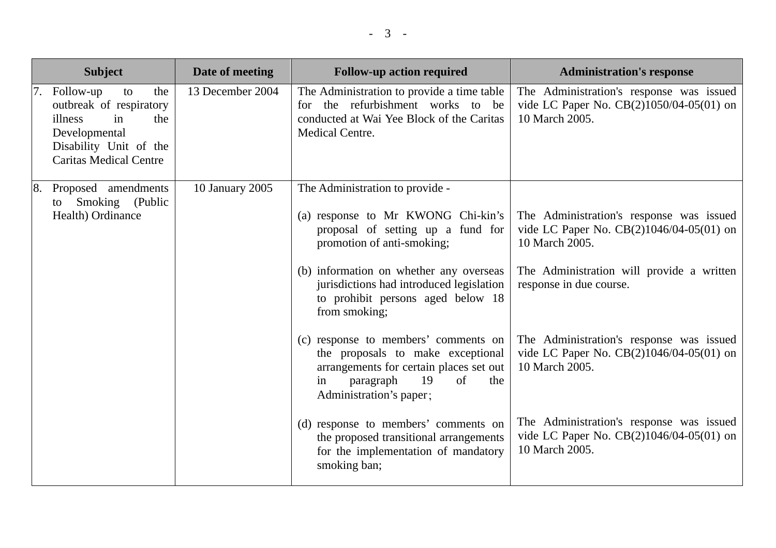|            | <b>Subject</b>                                                                                                                                           | Date of meeting  | <b>Follow-up action required</b>                                                                                                                                                                                                                                                      | <b>Administration's response</b>                                                                                                                                               |
|------------|----------------------------------------------------------------------------------------------------------------------------------------------------------|------------------|---------------------------------------------------------------------------------------------------------------------------------------------------------------------------------------------------------------------------------------------------------------------------------------|--------------------------------------------------------------------------------------------------------------------------------------------------------------------------------|
|            | 7. Follow-up<br>the<br>to<br>outbreak of respiratory<br>illness<br>in<br>the<br>Developmental<br>Disability Unit of the<br><b>Caritas Medical Centre</b> | 13 December 2004 | The Administration to provide a time table<br>for the refurbishment works to be<br>conducted at Wai Yee Block of the Caritas<br><b>Medical Centre.</b>                                                                                                                                | The Administration's response was issued<br>vide LC Paper No. CB(2)1050/04-05(01) on<br>10 March 2005.                                                                         |
| $\vert 8.$ | Proposed amendments<br>Smoking (Public<br>to<br>Health) Ordinance                                                                                        | 10 January 2005  | The Administration to provide -<br>(a) response to Mr KWONG Chi-kin's<br>proposal of setting up a fund for<br>promotion of anti-smoking;<br>(b) information on whether any overseas<br>jurisdictions had introduced legislation<br>to prohibit persons aged below 18<br>from smoking; | The Administration's response was issued<br>vide LC Paper No. CB(2)1046/04-05(01) on<br>10 March 2005.<br>The Administration will provide a written<br>response in due course. |
|            |                                                                                                                                                          |                  | (c) response to members' comments on<br>the proposals to make exceptional<br>arrangements for certain places set out<br>19<br>of<br>paragraph<br>the<br>in<br>Administration's paper;                                                                                                 | The Administration's response was issued<br>vide LC Paper No. CB(2)1046/04-05(01) on<br>10 March 2005.                                                                         |
|            |                                                                                                                                                          |                  | (d) response to members' comments on<br>the proposed transitional arrangements<br>for the implementation of mandatory<br>smoking ban;                                                                                                                                                 | The Administration's response was issued<br>vide LC Paper No. CB(2)1046/04-05(01) on<br>10 March 2005.                                                                         |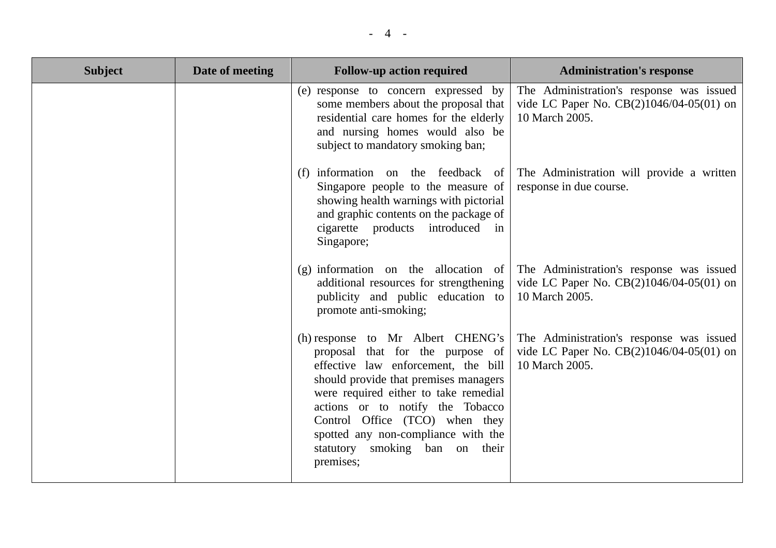| <b>Subject</b> | Date of meeting | <b>Follow-up action required</b>                                                                                                                                                                                                                                                                                                                           | <b>Administration's response</b>                                                                       |
|----------------|-----------------|------------------------------------------------------------------------------------------------------------------------------------------------------------------------------------------------------------------------------------------------------------------------------------------------------------------------------------------------------------|--------------------------------------------------------------------------------------------------------|
|                |                 | (e) response to concern expressed by<br>some members about the proposal that<br>residential care homes for the elderly<br>and nursing homes would also be<br>subject to mandatory smoking ban;                                                                                                                                                             | The Administration's response was issued<br>vide LC Paper No. CB(2)1046/04-05(01) on<br>10 March 2005. |
|                |                 | (f) information on the feedback of<br>Singapore people to the measure of<br>showing health warnings with pictorial<br>and graphic contents on the package of<br>cigarette products introduced in<br>Singapore;                                                                                                                                             | The Administration will provide a written<br>response in due course.                                   |
|                |                 | $(g)$ information on the allocation of<br>additional resources for strengthening<br>publicity and public education to<br>promote anti-smoking;                                                                                                                                                                                                             | The Administration's response was issued<br>vide LC Paper No. CB(2)1046/04-05(01) on<br>10 March 2005. |
|                |                 | (h) response to Mr Albert CHENG's<br>proposal that for the purpose of<br>effective law enforcement, the bill<br>should provide that premises managers<br>were required either to take remedial<br>actions or to notify the Tobacco<br>Control Office (TCO) when they<br>spotted any non-compliance with the<br>statutory smoking ban on their<br>premises; | The Administration's response was issued<br>vide LC Paper No. CB(2)1046/04-05(01) on<br>10 March 2005. |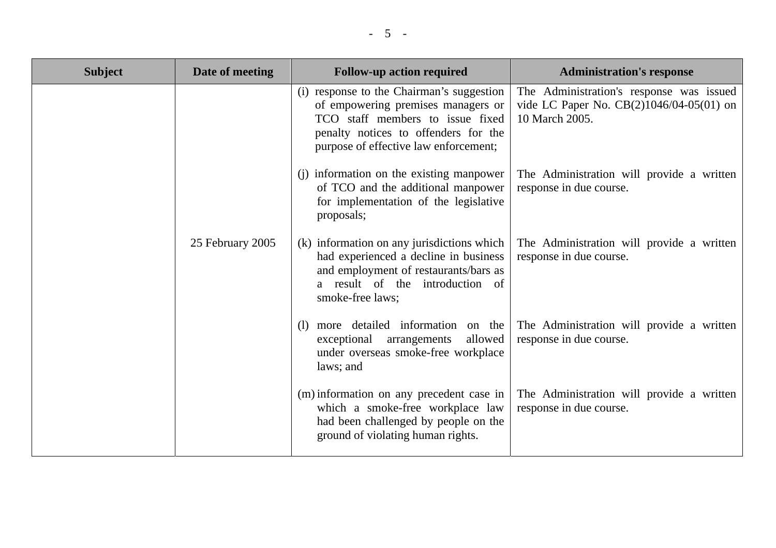| <b>Subject</b> | Date of meeting  | <b>Follow-up action required</b>                                                                                                                                                                     | <b>Administration's response</b>                                                                       |
|----------------|------------------|------------------------------------------------------------------------------------------------------------------------------------------------------------------------------------------------------|--------------------------------------------------------------------------------------------------------|
|                |                  | (i) response to the Chairman's suggestion<br>of empowering premises managers or<br>TCO staff members to issue fixed<br>penalty notices to offenders for the<br>purpose of effective law enforcement; | The Administration's response was issued<br>vide LC Paper No. CB(2)1046/04-05(01) on<br>10 March 2005. |
|                |                  | (j) information on the existing manpower<br>of TCO and the additional manpower<br>for implementation of the legislative<br>proposals;                                                                | The Administration will provide a written<br>response in due course.                                   |
|                | 25 February 2005 | (k) information on any jurisdictions which<br>had experienced a decline in business<br>and employment of restaurants/bars as<br>a result of the introduction of<br>smoke-free laws;                  | The Administration will provide a written<br>response in due course.                                   |
|                |                  | (1) more detailed information on the<br>exceptional<br>arrangements<br>allowed<br>under overseas smoke-free workplace<br>laws; and                                                                   | The Administration will provide a written<br>response in due course.                                   |
|                |                  | (m) information on any precedent case in<br>which a smoke-free workplace law<br>had been challenged by people on the<br>ground of violating human rights.                                            | The Administration will provide a written<br>response in due course.                                   |